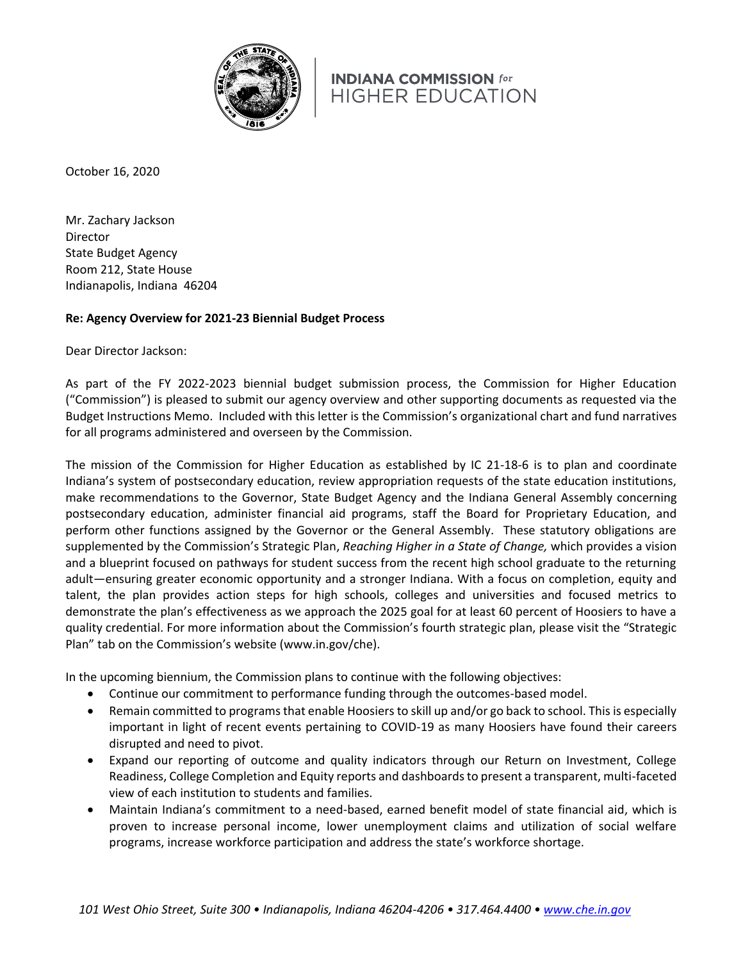

October 16, 2020

Mr. Zachary Jackson Director State Budget Agency Room 212, State House Indianapolis, Indiana 46204

### **Re: Agency Overview for 2021-23 Biennial Budget Process**

Dear Director Jackson:

As part of the FY 2022-2023 biennial budget submission process, the Commission for Higher Education ("Commission") is pleased to submit our agency overview and other supporting documents as requested via the Budget Instructions Memo. Included with this letter is the Commission's organizational chart and fund narratives for all programs administered and overseen by the Commission.

The mission of the Commission for Higher Education as established by IC 21-18-6 is to plan and coordinate Indiana's system of postsecondary education, review appropriation requests of the state education institutions, make recommendations to the Governor, State Budget Agency and the Indiana General Assembly concerning postsecondary education, administer financial aid programs, staff the Board for Proprietary Education, and perform other functions assigned by the Governor or the General Assembly. These statutory obligations are supplemented by the Commission's Strategic Plan, *Reaching Higher in a State of Change,* which provides a vision and a blueprint focused on pathways for student success from the recent high school graduate to the returning adult—ensuring greater economic opportunity and a stronger Indiana. With a focus on completion, equity and talent, the plan provides action steps for high schools, colleges and universities and focused metrics to demonstrate the plan's effectiveness as we approach the 2025 goal for at least 60 percent of Hoosiers to have a quality credential. For more information about the Commission's fourth strategic plan, please visit the "Strategic Plan" tab on the Commission's website (www.in.gov/che).

In the upcoming biennium, the Commission plans to continue with the following objectives:

- Continue our commitment to performance funding through the outcomes-based model.
- Remain committed to programs that enable Hoosiers to skill up and/or go back to school. This is especially important in light of recent events pertaining to COVID-19 as many Hoosiers have found their careers disrupted and need to pivot.
- Expand our reporting of outcome and quality indicators through our Return on Investment, College Readiness, College Completion and Equity reports and dashboards to present a transparent, multi-faceted view of each institution to students and families.
- Maintain Indiana's commitment to a need-based, earned benefit model of state financial aid, which is proven to increase personal income, lower unemployment claims and utilization of social welfare programs, increase workforce participation and address the state's workforce shortage.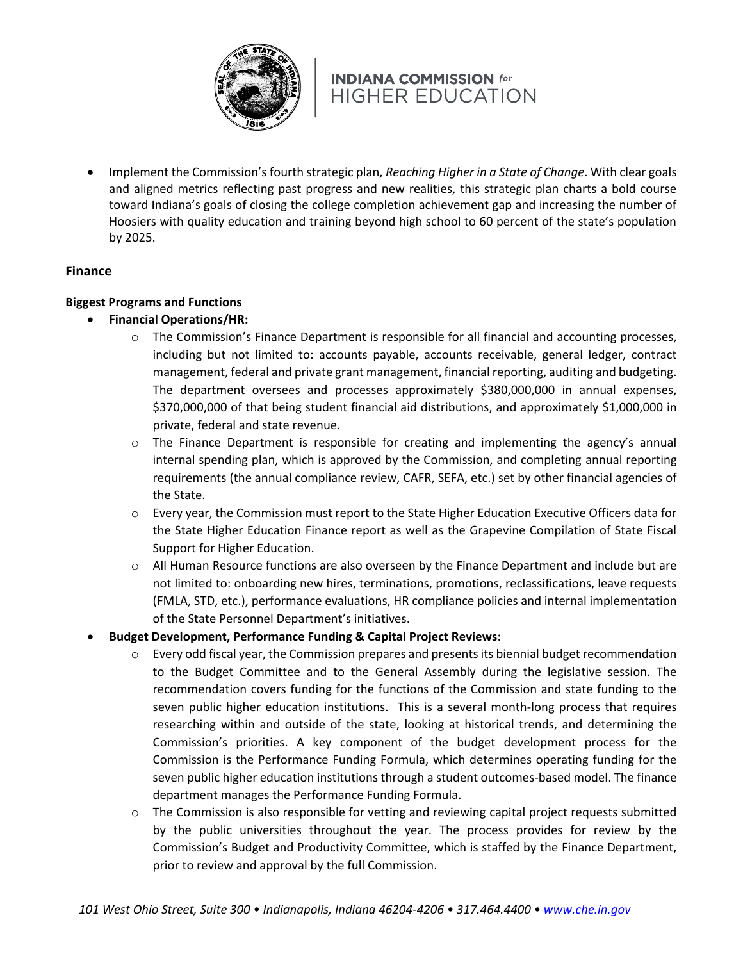

• Implement the Commission's fourth strategic plan, *Reaching Higher in a State of Change*. With clear goals and aligned metrics reflecting past progress and new realities, this strategic plan charts a bold course toward Indiana's goals of closing the college completion achievement gap and increasing the number of Hoosiers with quality education and training beyond high school to 60 percent of the state's population by 2025.

### **Finance**

### **Biggest Programs and Functions**

- **Financial Operations/HR:**
	- o The Commission's Finance Department is responsible for all financial and accounting processes, including but not limited to: accounts payable, accounts receivable, general ledger, contract management, federal and private grant management, financial reporting, auditing and budgeting. The department oversees and processes approximately \$380,000,000 in annual expenses, \$370,000,000 of that being student financial aid distributions, and approximately \$1,000,000 in private, federal and state revenue.
	- $\circ$  The Finance Department is responsible for creating and implementing the agency's annual internal spending plan, which is approved by the Commission, and completing annual reporting requirements (the annual compliance review, CAFR, SEFA, etc.) set by other financial agencies of the State.
	- o Every year, the Commission must report to the State Higher Education Executive Officers data for the State Higher Education Finance report as well as the Grapevine Compilation of State Fiscal Support for Higher Education.
	- $\circ$  All Human Resource functions are also overseen by the Finance Department and include but are not limited to: onboarding new hires, terminations, promotions, reclassifications, leave requests (FMLA, STD, etc.), performance evaluations, HR compliance policies and internal implementation of the State Personnel Department's initiatives.
- **Budget Development, Performance Funding & Capital Project Reviews:**
	- $\circ$  Every odd fiscal year, the Commission prepares and presents its biennial budget recommendation to the Budget Committee and to the General Assembly during the legislative session. The recommendation covers funding for the functions of the Commission and state funding to the seven public higher education institutions. This is a several month-long process that requires researching within and outside of the state, looking at historical trends, and determining the Commission's priorities. A key component of the budget development process for the Commission is the Performance Funding Formula, which determines operating funding for the seven public higher education institutions through a student outcomes-based model. The finance department manages the Performance Funding Formula.
	- o The Commission is also responsible for vetting and reviewing capital project requests submitted by the public universities throughout the year. The process provides for review by the Commission's Budget and Productivity Committee, which is staffed by the Finance Department, prior to review and approval by the full Commission.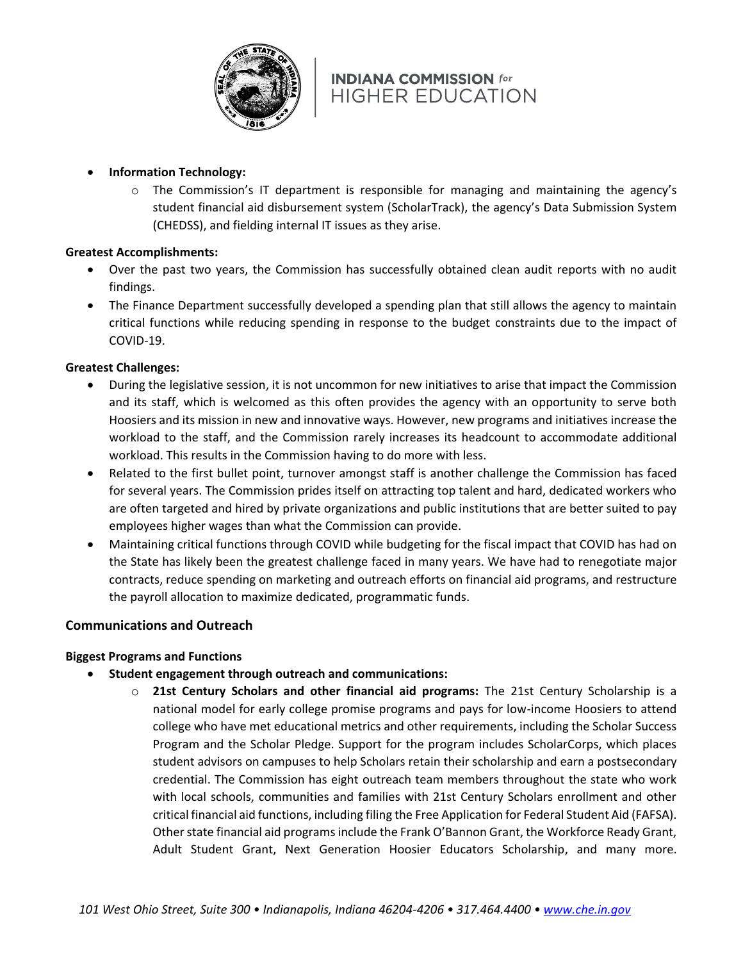

- **Information Technology:**
	- $\circ$  The Commission's IT department is responsible for managing and maintaining the agency's student financial aid disbursement system (ScholarTrack), the agency's Data Submission System (CHEDSS), and fielding internal IT issues as they arise.

### **Greatest Accomplishments:**

- Over the past two years, the Commission has successfully obtained clean audit reports with no audit findings.
- The Finance Department successfully developed a spending plan that still allows the agency to maintain critical functions while reducing spending in response to the budget constraints due to the impact of COVID-19.

### **Greatest Challenges:**

- During the legislative session, it is not uncommon for new initiatives to arise that impact the Commission and its staff, which is welcomed as this often provides the agency with an opportunity to serve both Hoosiers and its mission in new and innovative ways. However, new programs and initiatives increase the workload to the staff, and the Commission rarely increases its headcount to accommodate additional workload. This results in the Commission having to do more with less.
- Related to the first bullet point, turnover amongst staff is another challenge the Commission has faced for several years. The Commission prides itself on attracting top talent and hard, dedicated workers who are often targeted and hired by private organizations and public institutions that are better suited to pay employees higher wages than what the Commission can provide.
- Maintaining critical functions through COVID while budgeting for the fiscal impact that COVID has had on the State has likely been the greatest challenge faced in many years. We have had to renegotiate major contracts, reduce spending on marketing and outreach efforts on financial aid programs, and restructure the payroll allocation to maximize dedicated, programmatic funds.

### **Communications and Outreach**

### **Biggest Programs and Functions**

- **Student engagement through outreach and communications:**
	- o **21st Century Scholars and other financial aid programs:** The 21st Century Scholarship is a national model for early college promise programs and pays for low-income Hoosiers to attend college who have met educational metrics and other requirements, including the Scholar Success Program and the Scholar Pledge. Support for the program includes ScholarCorps, which places student advisors on campuses to help Scholars retain their scholarship and earn a postsecondary credential. The Commission has eight outreach team members throughout the state who work with local schools, communities and families with 21st Century Scholars enrollment and other critical financial aid functions, including filing the Free Application for Federal Student Aid (FAFSA). Other state financial aid programs include the Frank O'Bannon Grant, the Workforce Ready Grant, Adult Student Grant, Next Generation Hoosier Educators Scholarship, and many more.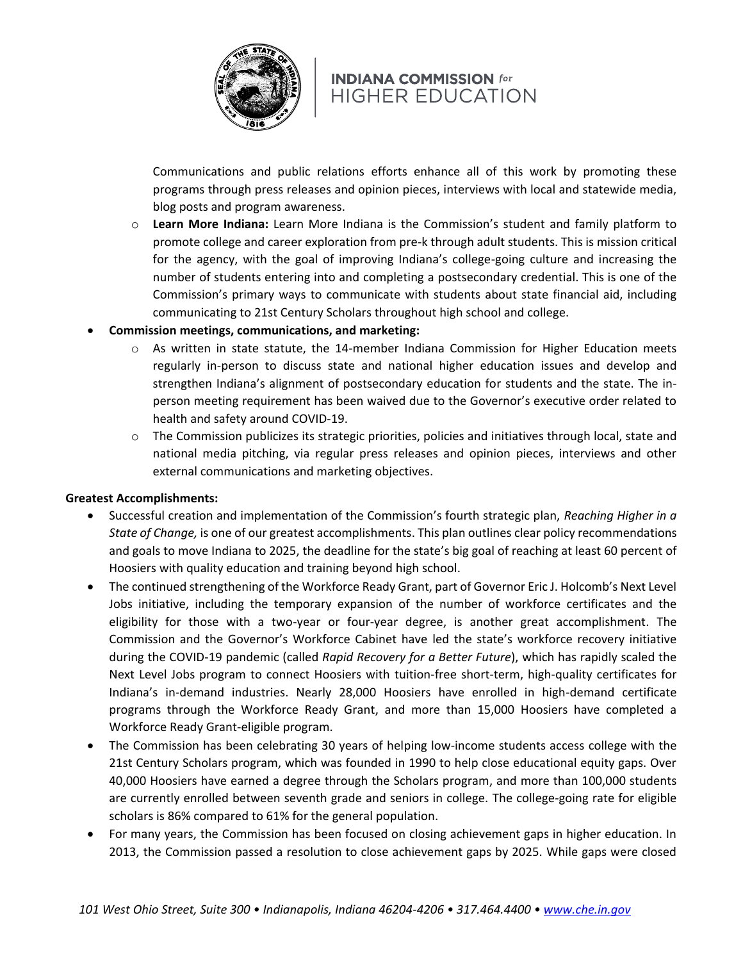

Communications and public relations efforts enhance all of this work by promoting these programs through press releases and opinion pieces, interviews with local and statewide media, blog posts and program awareness.

- o **Learn More Indiana:** Learn More Indiana is the Commission's student and family platform to promote college and career exploration from pre-k through adult students. This is mission critical for the agency, with the goal of improving Indiana's college-going culture and increasing the number of students entering into and completing a postsecondary credential. This is one of the Commission's primary ways to communicate with students about state financial aid, including communicating to 21st Century Scholars throughout high school and college.
- **Commission meetings, communications, and marketing:**
	- $\circ$  As written in state statute, the 14-member Indiana Commission for Higher Education meets regularly in-person to discuss state and national higher education issues and develop and strengthen Indiana's alignment of postsecondary education for students and the state. The inperson meeting requirement has been waived due to the Governor's executive order related to health and safety around COVID-19.
	- $\circ$  The Commission publicizes its strategic priorities, policies and initiatives through local, state and national media pitching, via regular press releases and opinion pieces, interviews and other external communications and marketing objectives.

### **Greatest Accomplishments:**

- Successful creation and implementation of the Commission's fourth strategic plan, *Reaching Higher in a State of Change,* is one of our greatest accomplishments. This plan outlines clear policy recommendations and goals to move Indiana to 2025, the deadline for the state's big goal of reaching at least 60 percent of Hoosiers with quality education and training beyond high school.
- The continued strengthening of the Workforce Ready Grant, part of Governor Eric J. Holcomb's Next Level Jobs initiative, including the temporary expansion of the number of workforce certificates and the eligibility for those with a two-year or four-year degree, is another great accomplishment. The Commission and the Governor's Workforce Cabinet have led the state's workforce recovery initiative during the COVID-19 pandemic (called *Rapid Recovery for a Better Future*), which has rapidly scaled the Next Level Jobs program to connect Hoosiers with tuition-free short-term, high-quality certificates for Indiana's in-demand industries. Nearly 28,000 Hoosiers have enrolled in high-demand certificate programs through the Workforce Ready Grant, and more than 15,000 Hoosiers have completed a Workforce Ready Grant-eligible program.
- The Commission has been celebrating 30 years of helping low-income students access college with the 21st Century Scholars program, which was founded in 1990 to help close educational equity gaps. Over 40,000 Hoosiers have earned a degree through the Scholars program, and more than 100,000 students are currently enrolled between seventh grade and seniors in college. The college-going rate for eligible scholars is 86% compared to 61% for the general population.
- For many years, the Commission has been focused on closing achievement gaps in higher education. In 2013, the Commission passed a resolution to close achievement gaps by 2025. While gaps were closed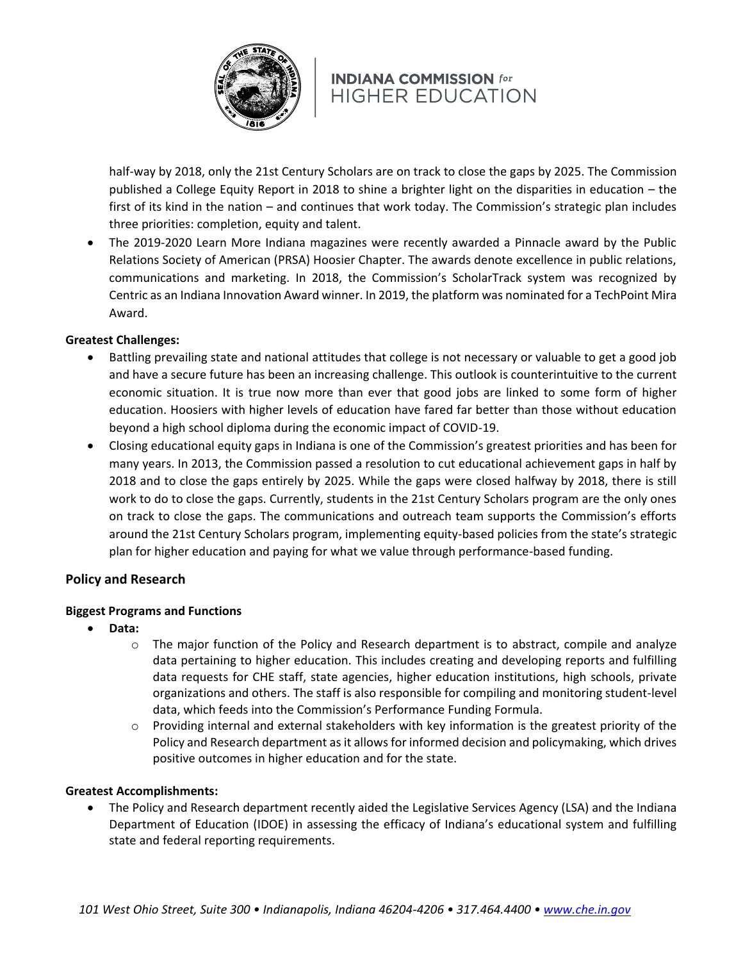

half-way by 2018, only the 21st Century Scholars are on track to close the gaps by 2025. The Commission published a College Equity Report in 2018 to shine a brighter light on the disparities in education – the first of its kind in the nation – and continues that work today. The Commission's strategic plan includes three priorities: completion, equity and talent.

• The 2019-2020 Learn More Indiana magazines were recently awarded a Pinnacle award by the Public Relations Society of American (PRSA) Hoosier Chapter. The awards denote excellence in public relations, communications and marketing. In 2018, the Commission's ScholarTrack system was recognized by Centric as an Indiana Innovation Award winner. In 2019, the platform was nominated for a TechPoint Mira Award.

### **Greatest Challenges:**

- Battling prevailing state and national attitudes that college is not necessary or valuable to get a good job and have a secure future has been an increasing challenge. This outlook is counterintuitive to the current economic situation. It is true now more than ever that good jobs are linked to some form of higher education. Hoosiers with higher levels of education have fared far better than those without education beyond a high school diploma during the economic impact of COVID-19.
- Closing educational equity gaps in Indiana is one of the Commission's greatest priorities and has been for many years. In 2013, the Commission passed a resolution to cut educational achievement gaps in half by 2018 and to close the gaps entirely by 2025. While the gaps were closed halfway by 2018, there is still work to do to close the gaps. Currently, students in the 21st Century Scholars program are the only ones on track to close the gaps. The communications and outreach team supports the Commission's efforts around the 21st Century Scholars program, implementing equity-based policies from the state's strategic plan for higher education and paying for what we value through performance-based funding.

### **Policy and Research**

### **Biggest Programs and Functions**

- **Data:**
	- $\circ$  The major function of the Policy and Research department is to abstract, compile and analyze data pertaining to higher education. This includes creating and developing reports and fulfilling data requests for CHE staff, state agencies, higher education institutions, high schools, private organizations and others. The staff is also responsible for compiling and monitoring student-level data, which feeds into the Commission's Performance Funding Formula.
	- $\circ$  Providing internal and external stakeholders with key information is the greatest priority of the Policy and Research department as it allows for informed decision and policymaking, which drives positive outcomes in higher education and for the state.

### **Greatest Accomplishments:**

• The Policy and Research department recently aided the Legislative Services Agency (LSA) and the Indiana Department of Education (IDOE) in assessing the efficacy of Indiana's educational system and fulfilling state and federal reporting requirements.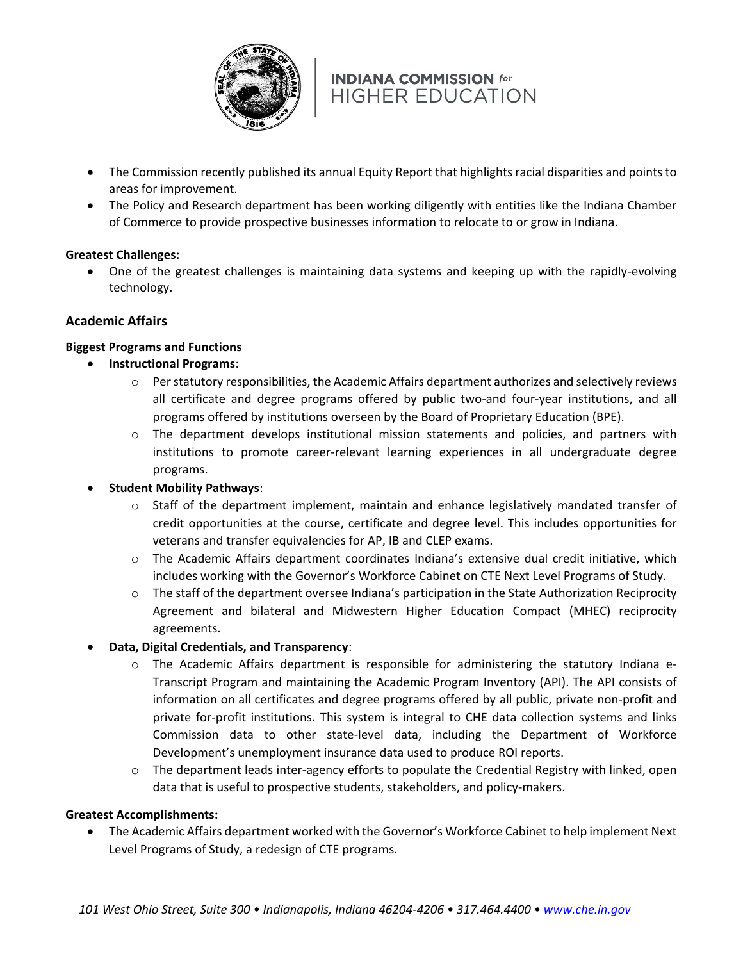

- The Commission recently published its annual Equity Report that highlights racial disparities and points to areas for improvement.
- The Policy and Research department has been working diligently with entities like the Indiana Chamber of Commerce to provide prospective businesses information to relocate to or grow in Indiana.

### **Greatest Challenges:**

• One of the greatest challenges is maintaining data systems and keeping up with the rapidly-evolving technology.

### **Academic Affairs**

### **Biggest Programs and Functions**

- **Instructional Programs**:
	- $\circ$  Per statutory responsibilities, the Academic Affairs department authorizes and selectively reviews all certificate and degree programs offered by public two-and four-year institutions, and all programs offered by institutions overseen by the Board of Proprietary Education (BPE).
	- o The department develops institutional mission statements and policies, and partners with institutions to promote career-relevant learning experiences in all undergraduate degree programs.

### • **Student Mobility Pathways**:

- $\circ$  Staff of the department implement, maintain and enhance legislatively mandated transfer of credit opportunities at the course, certificate and degree level. This includes opportunities for veterans and transfer equivalencies for AP, IB and CLEP exams.
- o The Academic Affairs department coordinates Indiana's extensive dual credit initiative, which includes working with the Governor's Workforce Cabinet on CTE Next Level Programs of Study.
- o The staff of the department oversee Indiana's participation in the State Authorization Reciprocity Agreement and bilateral and Midwestern Higher Education Compact (MHEC) reciprocity agreements.

### • **Data, Digital Credentials, and Transparency**:

- o The Academic Affairs department is responsible for administering the statutory Indiana e-Transcript Program and maintaining the Academic Program Inventory (API). The API consists of information on all certificates and degree programs offered by all public, private non-profit and private for-profit institutions. This system is integral to CHE data collection systems and links Commission data to other state-level data, including the Department of Workforce Development's unemployment insurance data used to produce ROI reports.
- $\circ$  The department leads inter-agency efforts to populate the Credential Registry with linked, open data that is useful to prospective students, stakeholders, and policy-makers.

### **Greatest Accomplishments:**

• The Academic Affairs department worked with the Governor's Workforce Cabinet to help implement Next Level Programs of Study, a redesign of CTE programs.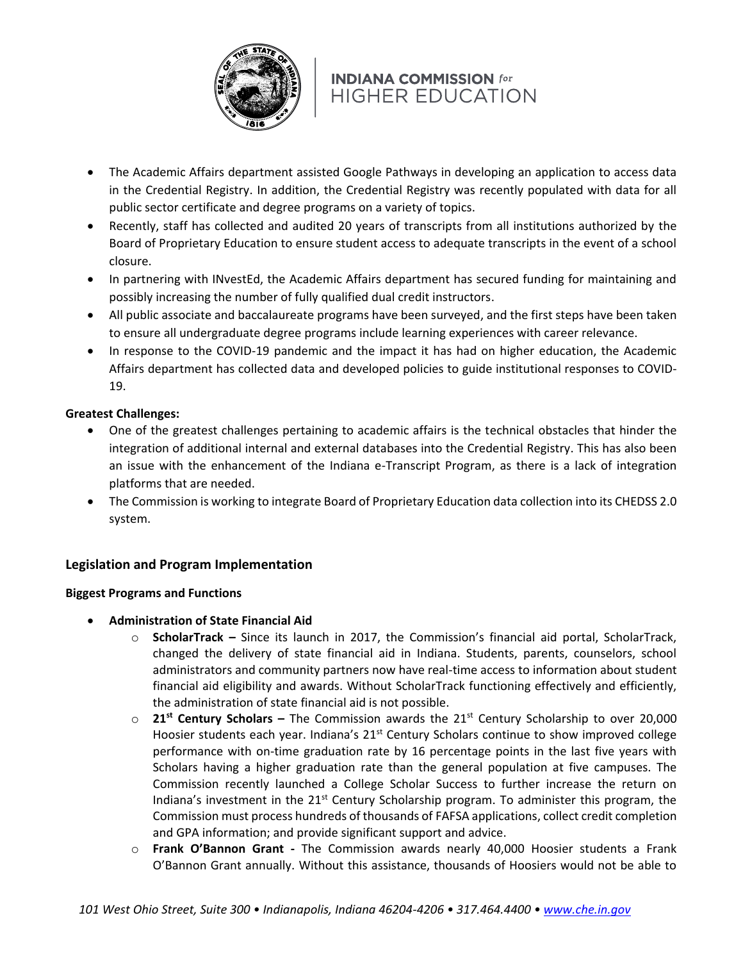

- The Academic Affairs department assisted Google Pathways in developing an application to access data in the Credential Registry. In addition, the Credential Registry was recently populated with data for all public sector certificate and degree programs on a variety of topics.
- Recently, staff has collected and audited 20 years of transcripts from all institutions authorized by the Board of Proprietary Education to ensure student access to adequate transcripts in the event of a school closure.
- In partnering with INvestEd, the Academic Affairs department has secured funding for maintaining and possibly increasing the number of fully qualified dual credit instructors.
- All public associate and baccalaureate programs have been surveyed, and the first steps have been taken to ensure all undergraduate degree programs include learning experiences with career relevance.
- In response to the COVID-19 pandemic and the impact it has had on higher education, the Academic Affairs department has collected data and developed policies to guide institutional responses to COVID-19.

## **Greatest Challenges:**

- One of the greatest challenges pertaining to academic affairs is the technical obstacles that hinder the integration of additional internal and external databases into the Credential Registry. This has also been an issue with the enhancement of the Indiana e-Transcript Program, as there is a lack of integration platforms that are needed.
- The Commission is working to integrate Board of Proprietary Education data collection into its CHEDSS 2.0 system.

## **Legislation and Program Implementation**

### **Biggest Programs and Functions**

- **Administration of State Financial Aid**
	- o **ScholarTrack –** Since its launch in 2017, the Commission's financial aid portal, ScholarTrack, changed the delivery of state financial aid in Indiana. Students, parents, counselors, school administrators and community partners now have real-time access to information about student financial aid eligibility and awards. Without ScholarTrack functioning effectively and efficiently, the administration of state financial aid is not possible.
	- o **21st Century Scholars –** The Commission awards the 21st Century Scholarship to over 20,000 Hoosier students each year. Indiana's  $21<sup>st</sup>$  Century Scholars continue to show improved college performance with on-time graduation rate by 16 percentage points in the last five years with Scholars having a higher graduation rate than the general population at five campuses. The Commission recently launched a College Scholar Success to further increase the return on Indiana's investment in the  $21<sup>st</sup>$  Century Scholarship program. To administer this program, the Commission must process hundreds of thousands of FAFSA applications, collect credit completion and GPA information; and provide significant support and advice.
	- o **Frank O'Bannon Grant -** The Commission awards nearly 40,000 Hoosier students a Frank O'Bannon Grant annually. Without this assistance, thousands of Hoosiers would not be able to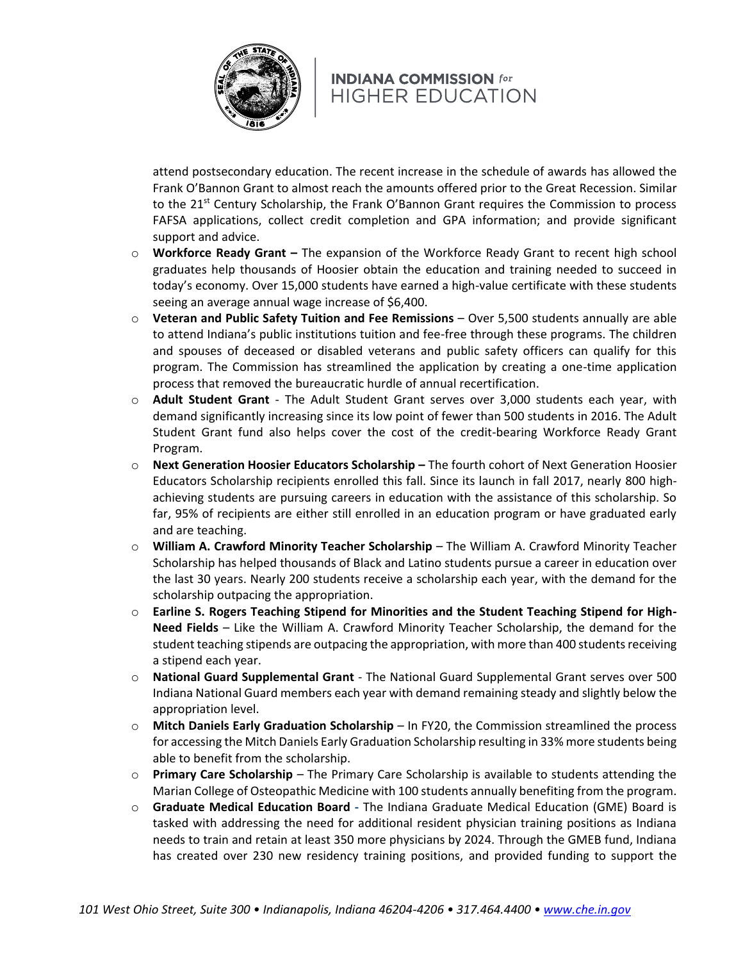

attend postsecondary education. The recent increase in the schedule of awards has allowed the Frank O'Bannon Grant to almost reach the amounts offered prior to the Great Recession. Similar to the 21<sup>st</sup> Century Scholarship, the Frank O'Bannon Grant requires the Commission to process FAFSA applications, collect credit completion and GPA information; and provide significant support and advice.

- o **Workforce Ready Grant –** The expansion of the Workforce Ready Grant to recent high school graduates help thousands of Hoosier obtain the education and training needed to succeed in today's economy. Over 15,000 students have earned a high-value certificate with these students seeing an average annual wage increase of \$6,400.
- o **Veteran and Public Safety Tuition and Fee Remissions** Over 5,500 students annually are able to attend Indiana's public institutions tuition and fee-free through these programs. The children and spouses of deceased or disabled veterans and public safety officers can qualify for this program. The Commission has streamlined the application by creating a one-time application process that removed the bureaucratic hurdle of annual recertification.
- o **Adult Student Grant** The Adult Student Grant serves over 3,000 students each year, with demand significantly increasing since its low point of fewer than 500 students in 2016. The Adult Student Grant fund also helps cover the cost of the credit-bearing Workforce Ready Grant Program.
- o **Next Generation Hoosier Educators Scholarship –** The fourth cohort of Next Generation Hoosier Educators Scholarship recipients enrolled this fall. Since its launch in fall 2017, nearly 800 highachieving students are pursuing careers in education with the assistance of this scholarship. So far, 95% of recipients are either still enrolled in an education program or have graduated early and are teaching.
- o **William A. Crawford Minority Teacher Scholarship** *–* The William A. Crawford Minority Teacher Scholarship has helped thousands of Black and Latino students pursue a career in education over the last 30 years. Nearly 200 students receive a scholarship each year, with the demand for the scholarship outpacing the appropriation.
- o **Earline S. Rogers Teaching Stipend for Minorities and the Student Teaching Stipend for High-Need Fields** *–* Like the William A. Crawford Minority Teacher Scholarship, the demand for the student teaching stipends are outpacing the appropriation, with more than 400 students receiving a stipend each year.
- o **National Guard Supplemental Grant** The National Guard Supplemental Grant serves over 500 Indiana National Guard members each year with demand remaining steady and slightly below the appropriation level.
- o **Mitch Daniels Early Graduation Scholarship** *–* In FY20, the Commission streamlined the process for accessing the Mitch Daniels Early Graduation Scholarship resulting in 33% more students being able to benefit from the scholarship.
- o **Primary Care Scholarship** *–* The Primary Care Scholarship is available to students attending the Marian College of Osteopathic Medicine with 100 students annually benefiting from the program.
- o **Graduate Medical Education Board -** The Indiana Graduate Medical Education (GME) Board is tasked with addressing the need for additional resident physician training positions as Indiana needs to train and retain at least 350 more physicians by 2024. Through the GMEB fund, Indiana has created over 230 new residency training positions, and provided funding to support the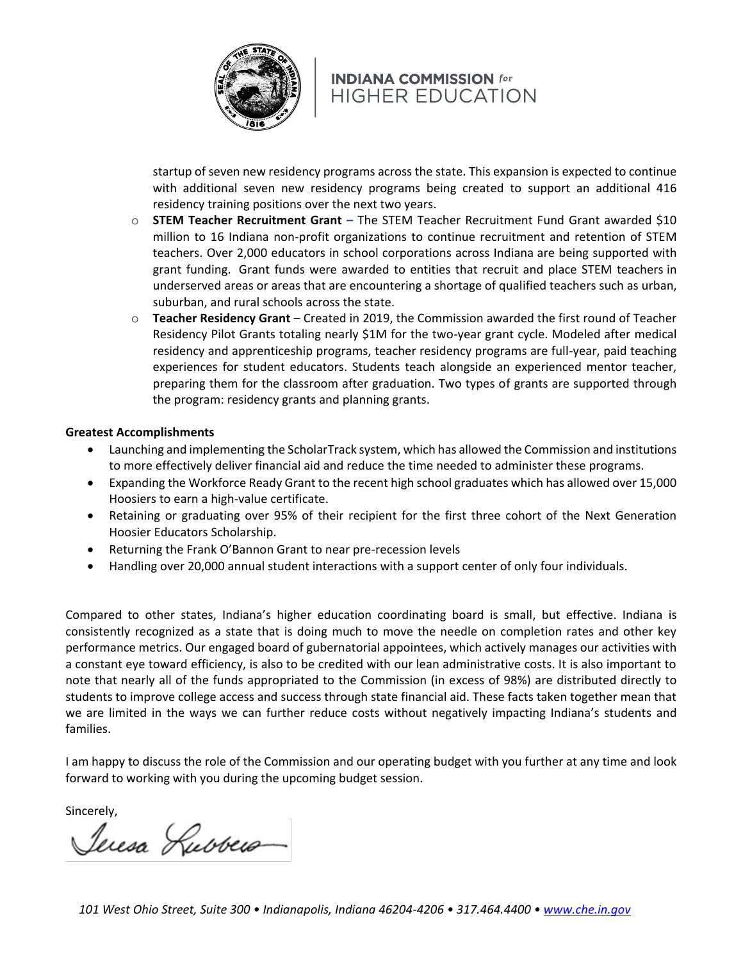

startup of seven new residency programs across the state. This expansion is expected to continue with additional seven new residency programs being created to support an additional 416 residency training positions over the next two years.

- o **STEM Teacher Recruitment Grant –** The STEM Teacher Recruitment Fund Grant awarded \$10 million to 16 Indiana non-profit organizations to continue recruitment and retention of STEM teachers. Over 2,000 educators in school corporations across Indiana are being supported with grant funding. Grant funds were awarded to entities that recruit and place STEM teachers in underserved areas or areas that are encountering a shortage of qualified teachers such as urban, suburban, and rural schools across the state.
- o **Teacher Residency Grant** Created in 2019, the Commission awarded the first round of Teacher Residency Pilot Grants totaling nearly \$1M for the two-year grant cycle. Modeled after medical residency and apprenticeship programs, teacher residency programs are full-year, paid teaching experiences for student educators. Students teach alongside an experienced mentor teacher, preparing them for the classroom after graduation. Two types of grants are supported through the program: residency grants and planning grants.

#### **Greatest Accomplishments**

- Launching and implementing the ScholarTrack system, which has allowed the Commission and institutions to more effectively deliver financial aid and reduce the time needed to administer these programs.
- Expanding the Workforce Ready Grant to the recent high school graduates which has allowed over 15,000 Hoosiers to earn a high-value certificate.
- Retaining or graduating over 95% of their recipient for the first three cohort of the Next Generation Hoosier Educators Scholarship.
- Returning the Frank O'Bannon Grant to near pre-recession levels
- Handling over 20,000 annual student interactions with a support center of only four individuals.

Compared to other states, Indiana's higher education coordinating board is small, but effective. Indiana is consistently recognized as a state that is doing much to move the needle on completion rates and other key performance metrics. Our engaged board of gubernatorial appointees, which actively manages our activities with a constant eye toward efficiency, is also to be credited with our lean administrative costs. It is also important to note that nearly all of the funds appropriated to the Commission (in excess of 98%) are distributed directly to students to improve college access and success through state financial aid. These facts taken together mean that we are limited in the ways we can further reduce costs without negatively impacting Indiana's students and families.

I am happy to discuss the role of the Commission and our operating budget with you further at any time and look forward to working with you during the upcoming budget session.

Sincerely,

Jeresa Lubbers